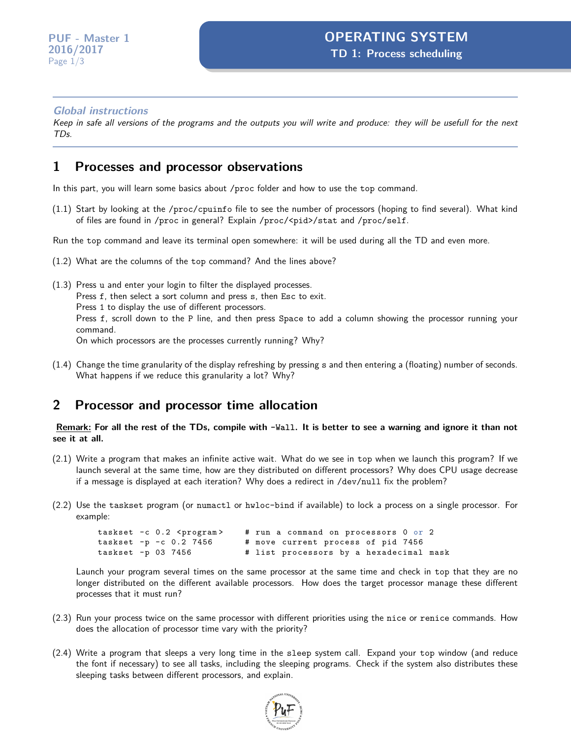#### **Global instructions**

Keep in safe all versions of the programs and the outputs you will write and produce: they will be usefull for the next TDs.

#### **1 Processes and processor observations**

In this part, you will learn some basics about /proc folder and how to use the top command.

(1.1) Start by looking at the /proc/cpuinfo file to see the number of processors (hoping to find several). What kind of files are found in /proc in general? Explain /proc/<pid>/stat and /proc/self.

Run the top command and leave its terminal open somewhere: it will be used during all the TD and even more.

- (1.2) What are the columns of the top command? And the lines above?
- (1.3) Press u and enter your login to filter the displayed processes. Press f, then select a sort column and press s, then Esc to exit. Press 1 to display the use of different processors. Press f, scroll down to the P line, and then press Space to add a column showing the processor running your command. On which processors are the processes currently running? Why?
- (1.4) Change the time granularity of the display refreshing by pressing s and then entering a (floating) number of seconds. What happens if we reduce this granularity a lot? Why?

#### **2 Processor and processor time allocation**

**Remark: For all the rest of the TDs, compile with -Wall. It is better to see a warning and ignore it than not see it at all.**

- (2.1) Write a program that makes an infinite active wait. What do we see in top when we launch this program? If we launch several at the same time, how are they distributed on different processors? Why does CPU usage decrease if a message is displayed at each iteration? Why does a redirect in /dev/null fix the problem?
- (2.2) Use the taskset program (or numactl or hwloc-bind if available) to lock a process on a single processor. For example:

```
taskset -c 0.2 <program> # run a command on processors 0 or 2<br>taskset -p -c 0.2 7456 # move current process of pid 7456
                                     # move current process of pid 7456
taskset -p 03 7456 \qquad # list processors by a hexadecimal mask
```
Launch your program several times on the same processor at the same time and check in top that they are no longer distributed on the different available processors. How does the target processor manage these different processes that it must run?

- (2.3) Run your process twice on the same processor with different priorities using the nice or renice commands. How does the allocation of processor time vary with the priority?
- (2.4) Write a program that sleeps a very long time in the sleep system call. Expand your top window (and reduce the font if necessary) to see all tasks, including the sleeping programs. Check if the system also distributes these sleeping tasks between different processors, and explain.

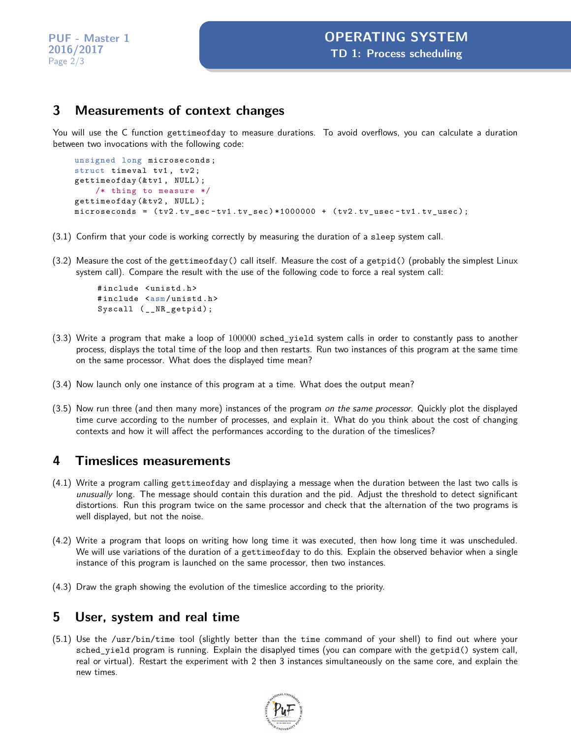## **3 Measurements of context changes**

You will use the C function gettimeofday to measure durations. To avoid overflows, you can calculate a duration between two invocations with the following code:

```
unsigned long microseconds ;
struct timeval tv1, tv2;
gettimeofday (& tv1, NULL);
    /* thing to measure */
gettimeofday (& tv2 , NULL ) ;
microseconds = ( tv2 . tv_sec - tv1 . tv_sec ) *1000000 + ( tv2 . tv_usec - tv1 . tv_usec ) ;
```
- (3.1) Confirm that your code is working correctly by measuring the duration of a sleep system call.
- (3.2) Measure the cost of the gettimeofday() call itself. Measure the cost of a getpid() (probably the simplest Linux system call). Compare the result with the use of the following code to force a real system call:

```
#include <unistd.h>
#include <asm/unistd.h>
Syscall (__NR_getpid);
```
- (3.3) Write a program that make a loop of 100000 sched\_yield system calls in order to constantly pass to another process, displays the total time of the loop and then restarts. Run two instances of this program at the same time on the same processor. What does the displayed time mean?
- (3.4) Now launch only one instance of this program at a time. What does the output mean?
- (3.5) Now run three (and then many more) instances of the program on the same processor. Quickly plot the displayed time curve according to the number of processes, and explain it. What do you think about the cost of changing contexts and how it will affect the performances according to the duration of the timeslices?

## **4 Timeslices measurements**

- (4.1) Write a program calling gettimeofday and displaying a message when the duration between the last two calls is unusually long. The message should contain this duration and the pid. Adjust the threshold to detect significant distortions. Run this program twice on the same processor and check that the alternation of the two programs is well displayed, but not the noise.
- (4.2) Write a program that loops on writing how long time it was executed, then how long time it was unscheduled. We will use variations of the duration of a gettimeofday to do this. Explain the observed behavior when a single instance of this program is launched on the same processor, then two instances.
- (4.3) Draw the graph showing the evolution of the timeslice according to the priority.

## **5 User, system and real time**

(5.1) Use the /usr/bin/time tool (slightly better than the time command of your shell) to find out where your sched\_yield program is running. Explain the disaplyed times (you can compare with the getpid() system call, real or virtual). Restart the experiment with 2 then 3 instances simultaneously on the same core, and explain the new times.